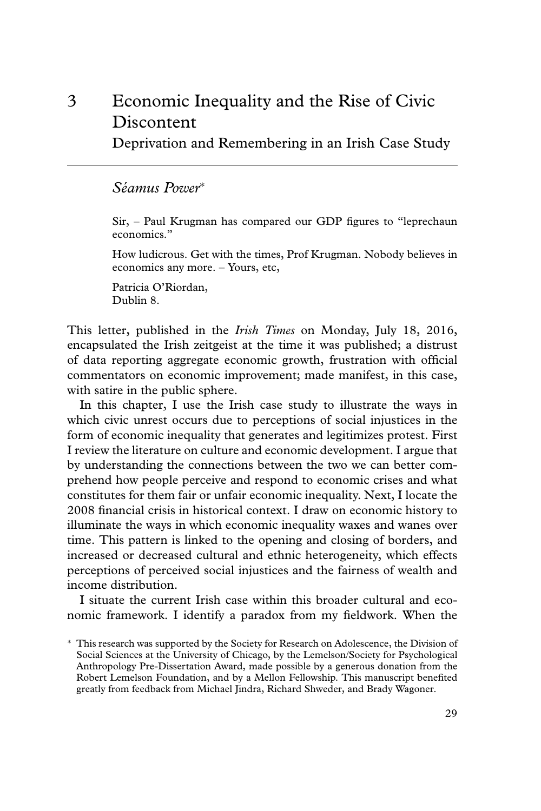# 3 Economic Inequality and the Rise of Civic Discontent

Deprivation and Remembering in an Irish Case Study

# *Séamus Power*<sup>∗</sup>

Sir, – Paul Krugman has compared our GDP figures to "leprechaun economics."

How ludicrous. Get with the times, Prof Krugman. Nobody believes in economics any more. – Yours, etc,

Patricia O'Riordan, Dublin 8.

This letter, published in the *Irish Times* on Monday, July 18, 2016, encapsulated the Irish zeitgeist at the time it was published; a distrust of data reporting aggregate economic growth, frustration with official commentators on economic improvement; made manifest, in this case, with satire in the public sphere.

In this chapter, I use the Irish case study to illustrate the ways in which civic unrest occurs due to perceptions of social injustices in the form of economic inequality that generates and legitimizes protest. First I review the literature on culture and economic development. I argue that by understanding the connections between the two we can better comprehend how people perceive and respond to economic crises and what constitutes for them fair or unfair economic inequality. Next, I locate the 2008 financial crisis in historical context. I draw on economic history to illuminate the ways in which economic inequality waxes and wanes over time. This pattern is linked to the opening and closing of borders, and increased or decreased cultural and ethnic heterogeneity, which effects perceptions of perceived social injustices and the fairness of wealth and income distribution.

I situate the current Irish case within this broader cultural and economic framework. I identify a paradox from my fieldwork. When the

<sup>∗</sup> This research was supported by the Society for Research on Adolescence, the Division of Social Sciences at the University of Chicago, by the Lemelson/Society for Psychological Anthropology Pre-Dissertation Award, made possible by a generous donation from the Robert Lemelson Foundation, and by a Mellon Fellowship. This manuscript benefited greatly from feedback from Michael Jindra, Richard Shweder, and Brady Wagoner.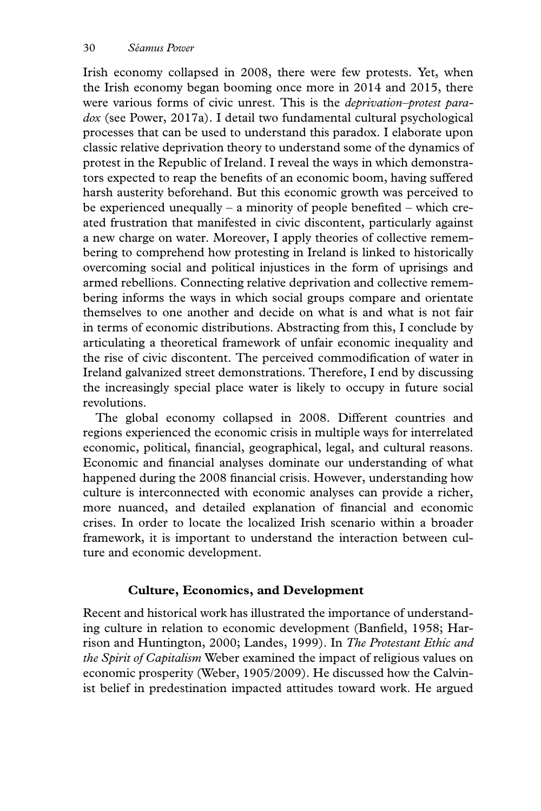Irish economy collapsed in 2008, there were few protests. Yet, when the Irish economy began booming once more in 2014 and 2015, there were various forms of civic unrest. This is the *deprivation–protest paradox* (see Power, 2017a). I detail two fundamental cultural psychological processes that can be used to understand this paradox. I elaborate upon classic relative deprivation theory to understand some of the dynamics of protest in the Republic of Ireland. I reveal the ways in which demonstrators expected to reap the benefits of an economic boom, having suffered harsh austerity beforehand. But this economic growth was perceived to be experienced unequally – a minority of people benefited – which created frustration that manifested in civic discontent, particularly against a new charge on water. Moreover, I apply theories of collective remembering to comprehend how protesting in Ireland is linked to historically overcoming social and political injustices in the form of uprisings and armed rebellions. Connecting relative deprivation and collective remembering informs the ways in which social groups compare and orientate themselves to one another and decide on what is and what is not fair in terms of economic distributions. Abstracting from this, I conclude by articulating a theoretical framework of unfair economic inequality and the rise of civic discontent. The perceived commodification of water in Ireland galvanized street demonstrations. Therefore, I end by discussing the increasingly special place water is likely to occupy in future social revolutions.

The global economy collapsed in 2008. Different countries and regions experienced the economic crisis in multiple ways for interrelated economic, political, financial, geographical, legal, and cultural reasons. Economic and financial analyses dominate our understanding of what happened during the 2008 financial crisis. However, understanding how culture is interconnected with economic analyses can provide a richer, more nuanced, and detailed explanation of financial and economic crises. In order to locate the localized Irish scenario within a broader framework, it is important to understand the interaction between culture and economic development.

## **Culture, Economics, and Development**

Recent and historical work has illustrated the importance of understanding culture in relation to economic development (Banfield, 1958; Harrison and Huntington, 2000; Landes, 1999). In *The Protestant Ethic and the Spirit of Capitalism* Weber examined the impact of religious values on economic prosperity (Weber, 1905/2009). He discussed how the Calvinist belief in predestination impacted attitudes toward work. He argued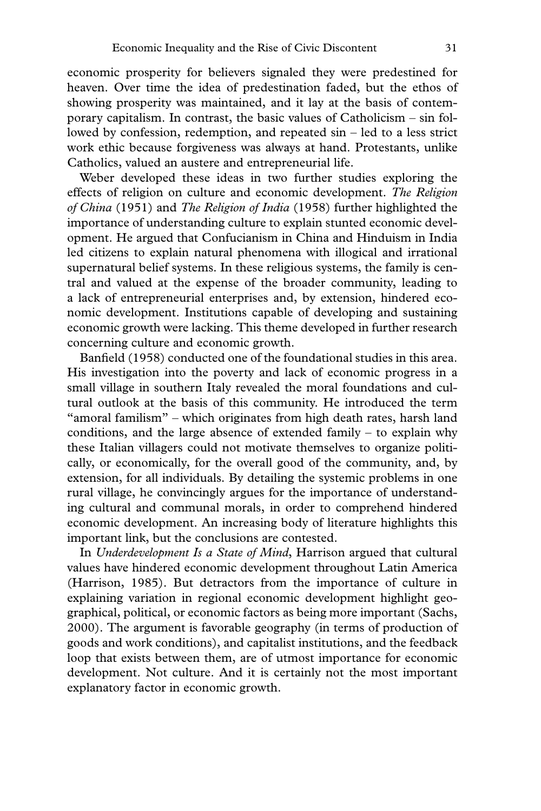economic prosperity for believers signaled they were predestined for heaven. Over time the idea of predestination faded, but the ethos of showing prosperity was maintained, and it lay at the basis of contemporary capitalism. In contrast, the basic values of Catholicism – sin followed by confession, redemption, and repeated sin – led to a less strict work ethic because forgiveness was always at hand. Protestants, unlike Catholics, valued an austere and entrepreneurial life.

Weber developed these ideas in two further studies exploring the effects of religion on culture and economic development. *The Religion of China* (1951) and *The Religion of India* (1958) further highlighted the importance of understanding culture to explain stunted economic development. He argued that Confucianism in China and Hinduism in India led citizens to explain natural phenomena with illogical and irrational supernatural belief systems. In these religious systems, the family is central and valued at the expense of the broader community, leading to a lack of entrepreneurial enterprises and, by extension, hindered economic development. Institutions capable of developing and sustaining economic growth were lacking. This theme developed in further research concerning culture and economic growth.

Banfield (1958) conducted one of the foundational studies in this area. His investigation into the poverty and lack of economic progress in a small village in southern Italy revealed the moral foundations and cultural outlook at the basis of this community. He introduced the term "amoral familism" – which originates from high death rates, harsh land conditions, and the large absence of extended family – to explain why these Italian villagers could not motivate themselves to organize politically, or economically, for the overall good of the community, and, by extension, for all individuals. By detailing the systemic problems in one rural village, he convincingly argues for the importance of understanding cultural and communal morals, in order to comprehend hindered economic development. An increasing body of literature highlights this important link, but the conclusions are contested.

In *Underdevelopment Is a State of Mind*, Harrison argued that cultural values have hindered economic development throughout Latin America (Harrison, 1985). But detractors from the importance of culture in explaining variation in regional economic development highlight geographical, political, or economic factors as being more important (Sachs, 2000). The argument is favorable geography (in terms of production of goods and work conditions), and capitalist institutions, and the feedback loop that exists between them, are of utmost importance for economic development. Not culture. And it is certainly not the most important explanatory factor in economic growth.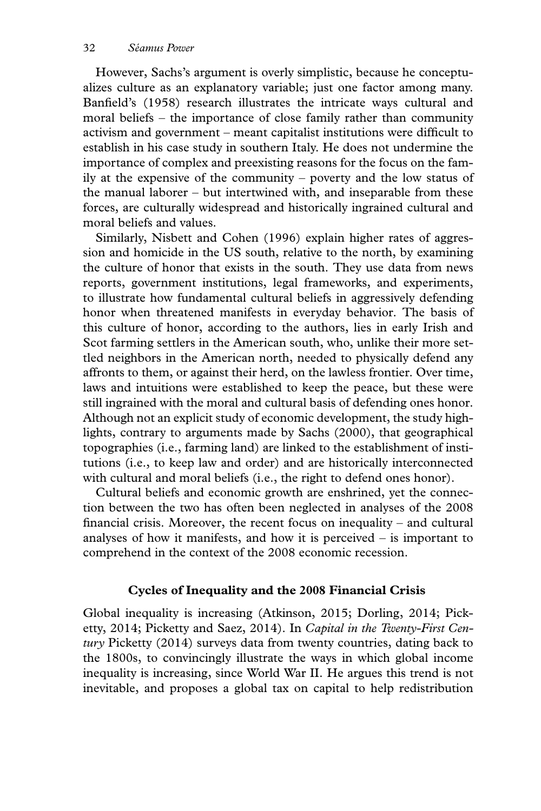However, Sachs's argument is overly simplistic, because he conceptualizes culture as an explanatory variable; just one factor among many. Banfield's (1958) research illustrates the intricate ways cultural and moral beliefs – the importance of close family rather than community activism and government – meant capitalist institutions were difficult to establish in his case study in southern Italy. He does not undermine the importance of complex and preexisting reasons for the focus on the family at the expensive of the community – poverty and the low status of the manual laborer – but intertwined with, and inseparable from these forces, are culturally widespread and historically ingrained cultural and moral beliefs and values.

Similarly, Nisbett and Cohen (1996) explain higher rates of aggression and homicide in the US south, relative to the north, by examining the culture of honor that exists in the south. They use data from news reports, government institutions, legal frameworks, and experiments, to illustrate how fundamental cultural beliefs in aggressively defending honor when threatened manifests in everyday behavior. The basis of this culture of honor, according to the authors, lies in early Irish and Scot farming settlers in the American south, who, unlike their more settled neighbors in the American north, needed to physically defend any affronts to them, or against their herd, on the lawless frontier. Over time, laws and intuitions were established to keep the peace, but these were still ingrained with the moral and cultural basis of defending ones honor. Although not an explicit study of economic development, the study highlights, contrary to arguments made by Sachs (2000), that geographical topographies (i.e., farming land) are linked to the establishment of institutions (i.e., to keep law and order) and are historically interconnected with cultural and moral beliefs (i.e., the right to defend ones honor).

Cultural beliefs and economic growth are enshrined, yet the connection between the two has often been neglected in analyses of the 2008 financial crisis. Moreover, the recent focus on inequality – and cultural analyses of how it manifests, and how it is perceived – is important to comprehend in the context of the 2008 economic recession.

### **Cycles of Inequality and the 2008 Financial Crisis**

Global inequality is increasing (Atkinson, 2015; Dorling, 2014; Picketty, 2014; Picketty and Saez, 2014). In *Capital in the Twenty-First Century* Picketty (2014) surveys data from twenty countries, dating back to the 1800s, to convincingly illustrate the ways in which global income inequality is increasing, since World War II. He argues this trend is not inevitable, and proposes a global tax on capital to help redistribution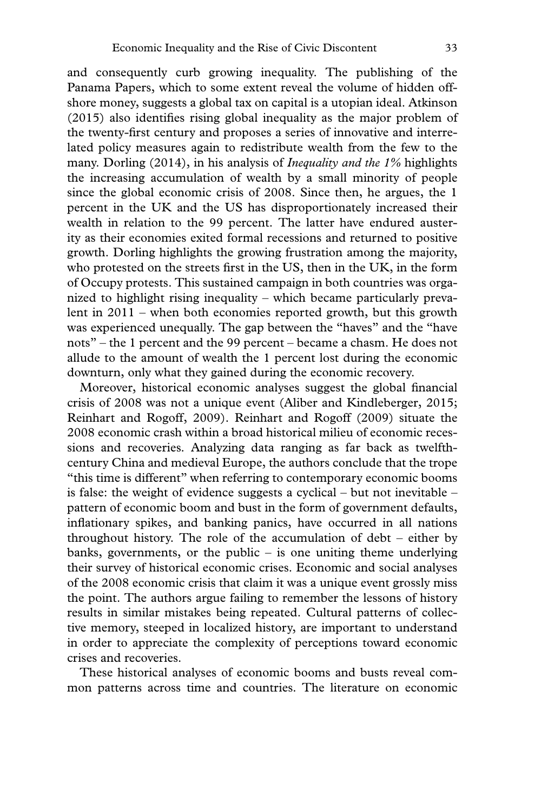and consequently curb growing inequality. The publishing of the Panama Papers, which to some extent reveal the volume of hidden offshore money, suggests a global tax on capital is a utopian ideal. Atkinson (2015) also identifies rising global inequality as the major problem of the twenty-first century and proposes a series of innovative and interrelated policy measures again to redistribute wealth from the few to the many. Dorling (2014), in his analysis of *Inequality and the 1%* highlights the increasing accumulation of wealth by a small minority of people since the global economic crisis of 2008. Since then, he argues, the 1 percent in the UK and the US has disproportionately increased their wealth in relation to the 99 percent. The latter have endured austerity as their economies exited formal recessions and returned to positive growth. Dorling highlights the growing frustration among the majority, who protested on the streets first in the US, then in the UK, in the form of Occupy protests. This sustained campaign in both countries was organized to highlight rising inequality – which became particularly prevalent in 2011 – when both economies reported growth, but this growth was experienced unequally. The gap between the "haves" and the "have nots" – the 1 percent and the 99 percent – became a chasm. He does not allude to the amount of wealth the 1 percent lost during the economic downturn, only what they gained during the economic recovery.

Moreover, historical economic analyses suggest the global financial crisis of 2008 was not a unique event (Aliber and Kindleberger, 2015; Reinhart and Rogoff, 2009). Reinhart and Rogoff (2009) situate the 2008 economic crash within a broad historical milieu of economic recessions and recoveries. Analyzing data ranging as far back as twelfthcentury China and medieval Europe, the authors conclude that the trope "this time is different" when referring to contemporary economic booms is false: the weight of evidence suggests a cyclical – but not inevitable – pattern of economic boom and bust in the form of government defaults, inflationary spikes, and banking panics, have occurred in all nations throughout history. The role of the accumulation of debt – either by banks, governments, or the public – is one uniting theme underlying their survey of historical economic crises. Economic and social analyses of the 2008 economic crisis that claim it was a unique event grossly miss the point. The authors argue failing to remember the lessons of history results in similar mistakes being repeated. Cultural patterns of collective memory, steeped in localized history, are important to understand in order to appreciate the complexity of perceptions toward economic crises and recoveries.

These historical analyses of economic booms and busts reveal common patterns across time and countries. The literature on economic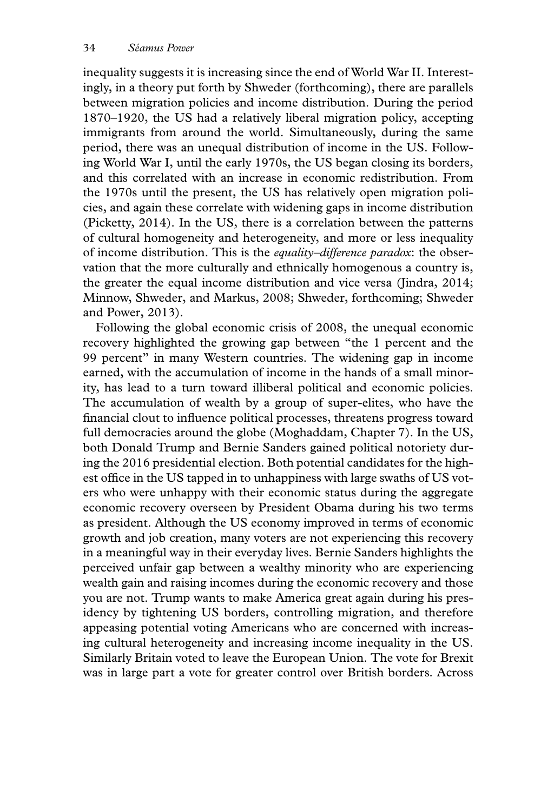inequality suggests it is increasing since the end of World War II. Interestingly, in a theory put forth by Shweder (forthcoming), there are parallels between migration policies and income distribution. During the period 1870–1920, the US had a relatively liberal migration policy, accepting immigrants from around the world. Simultaneously, during the same period, there was an unequal distribution of income in the US. Following World War I, until the early 1970s, the US began closing its borders, and this correlated with an increase in economic redistribution. From the 1970s until the present, the US has relatively open migration policies, and again these correlate with widening gaps in income distribution (Picketty, 2014). In the US, there is a correlation between the patterns of cultural homogeneity and heterogeneity, and more or less inequality of income distribution. This is the *equality–difference paradox*: the observation that the more culturally and ethnically homogenous a country is, the greater the equal income distribution and vice versa (Jindra, 2014; Minnow, Shweder, and Markus, 2008; Shweder, forthcoming; Shweder and Power, 2013).

Following the global economic crisis of 2008, the unequal economic recovery highlighted the growing gap between "the 1 percent and the 99 percent" in many Western countries. The widening gap in income earned, with the accumulation of income in the hands of a small minority, has lead to a turn toward illiberal political and economic policies. The accumulation of wealth by a group of super-elites, who have the financial clout to influence political processes, threatens progress toward full democracies around the globe (Moghaddam, Chapter 7). In the US, both Donald Trump and Bernie Sanders gained political notoriety during the 2016 presidential election. Both potential candidates for the highest office in the US tapped in to unhappiness with large swaths of US voters who were unhappy with their economic status during the aggregate economic recovery overseen by President Obama during his two terms as president. Although the US economy improved in terms of economic growth and job creation, many voters are not experiencing this recovery in a meaningful way in their everyday lives. Bernie Sanders highlights the perceived unfair gap between a wealthy minority who are experiencing wealth gain and raising incomes during the economic recovery and those you are not. Trump wants to make America great again during his presidency by tightening US borders, controlling migration, and therefore appeasing potential voting Americans who are concerned with increasing cultural heterogeneity and increasing income inequality in the US. Similarly Britain voted to leave the European Union. The vote for Brexit was in large part a vote for greater control over British borders. Across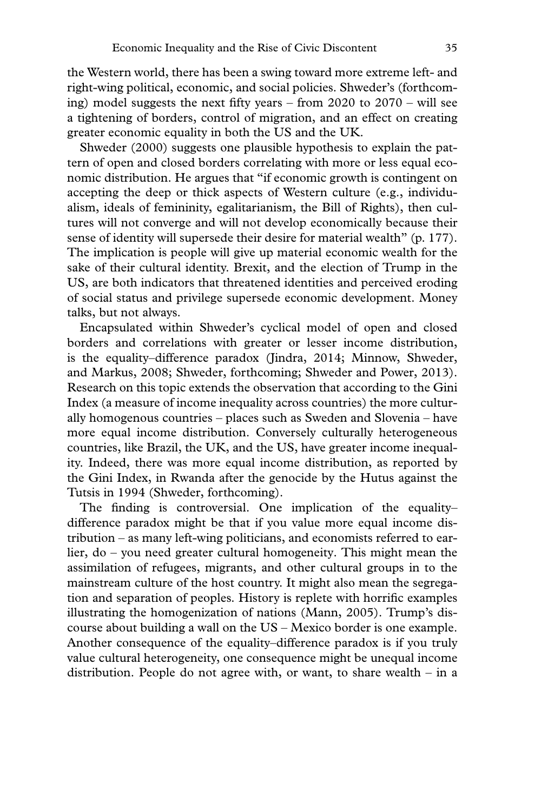the Western world, there has been a swing toward more extreme left- and right-wing political, economic, and social policies. Shweder's (forthcoming) model suggests the next fifty years – from 2020 to 2070 – will see a tightening of borders, control of migration, and an effect on creating greater economic equality in both the US and the UK.

Shweder (2000) suggests one plausible hypothesis to explain the pattern of open and closed borders correlating with more or less equal economic distribution. He argues that "if economic growth is contingent on accepting the deep or thick aspects of Western culture (e.g., individualism, ideals of femininity, egalitarianism, the Bill of Rights), then cultures will not converge and will not develop economically because their sense of identity will supersede their desire for material wealth" (p. 177). The implication is people will give up material economic wealth for the sake of their cultural identity. Brexit, and the election of Trump in the US, are both indicators that threatened identities and perceived eroding of social status and privilege supersede economic development. Money talks, but not always.

Encapsulated within Shweder's cyclical model of open and closed borders and correlations with greater or lesser income distribution, is the equality–difference paradox (Jindra, 2014; Minnow, Shweder, and Markus, 2008; Shweder, forthcoming; Shweder and Power, 2013). Research on this topic extends the observation that according to the Gini Index (a measure of income inequality across countries) the more culturally homogenous countries – places such as Sweden and Slovenia – have more equal income distribution. Conversely culturally heterogeneous countries, like Brazil, the UK, and the US, have greater income inequality. Indeed, there was more equal income distribution, as reported by the Gini Index, in Rwanda after the genocide by the Hutus against the Tutsis in 1994 (Shweder, forthcoming).

The finding is controversial. One implication of the equality– difference paradox might be that if you value more equal income distribution – as many left-wing politicians, and economists referred to earlier, do – you need greater cultural homogeneity. This might mean the assimilation of refugees, migrants, and other cultural groups in to the mainstream culture of the host country. It might also mean the segregation and separation of peoples. History is replete with horrific examples illustrating the homogenization of nations (Mann, 2005). Trump's discourse about building a wall on the US – Mexico border is one example. Another consequence of the equality–difference paradox is if you truly value cultural heterogeneity, one consequence might be unequal income distribution. People do not agree with, or want, to share wealth  $-$  in a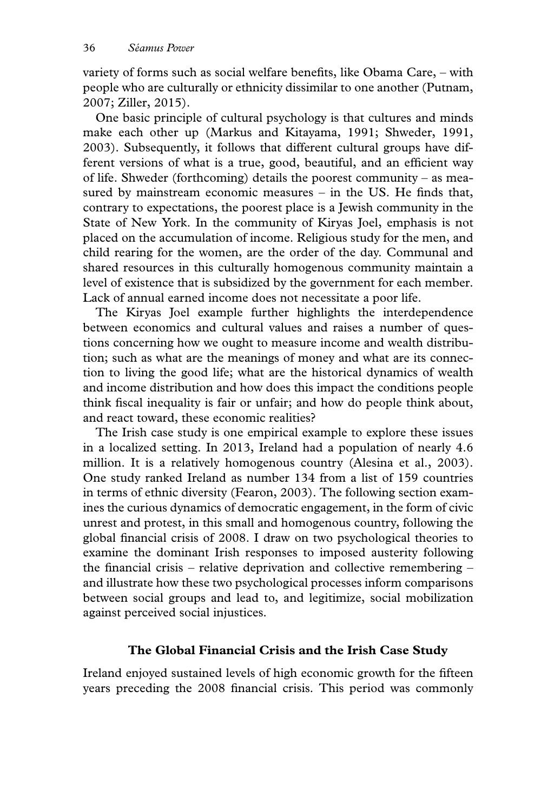variety of forms such as social welfare benefits, like Obama Care, – with people who are culturally or ethnicity dissimilar to one another (Putnam, 2007; Ziller, 2015).

One basic principle of cultural psychology is that cultures and minds make each other up (Markus and Kitayama, 1991; Shweder, 1991, 2003). Subsequently, it follows that different cultural groups have different versions of what is a true, good, beautiful, and an efficient way of life. Shweder (forthcoming) details the poorest community – as measured by mainstream economic measures – in the US. He finds that, contrary to expectations, the poorest place is a Jewish community in the State of New York. In the community of Kiryas Joel, emphasis is not placed on the accumulation of income. Religious study for the men, and child rearing for the women, are the order of the day. Communal and shared resources in this culturally homogenous community maintain a level of existence that is subsidized by the government for each member. Lack of annual earned income does not necessitate a poor life.

The Kiryas Joel example further highlights the interdependence between economics and cultural values and raises a number of questions concerning how we ought to measure income and wealth distribution; such as what are the meanings of money and what are its connection to living the good life; what are the historical dynamics of wealth and income distribution and how does this impact the conditions people think fiscal inequality is fair or unfair; and how do people think about, and react toward, these economic realities?

The Irish case study is one empirical example to explore these issues in a localized setting. In 2013, Ireland had a population of nearly 4.6 million. It is a relatively homogenous country (Alesina et al., 2003). One study ranked Ireland as number 134 from a list of 159 countries in terms of ethnic diversity (Fearon, 2003). The following section examines the curious dynamics of democratic engagement, in the form of civic unrest and protest, in this small and homogenous country, following the global financial crisis of 2008. I draw on two psychological theories to examine the dominant Irish responses to imposed austerity following the financial crisis – relative deprivation and collective remembering – and illustrate how these two psychological processes inform comparisons between social groups and lead to, and legitimize, social mobilization against perceived social injustices.

### **The Global Financial Crisis and the Irish Case Study**

Ireland enjoyed sustained levels of high economic growth for the fifteen years preceding the 2008 financial crisis. This period was commonly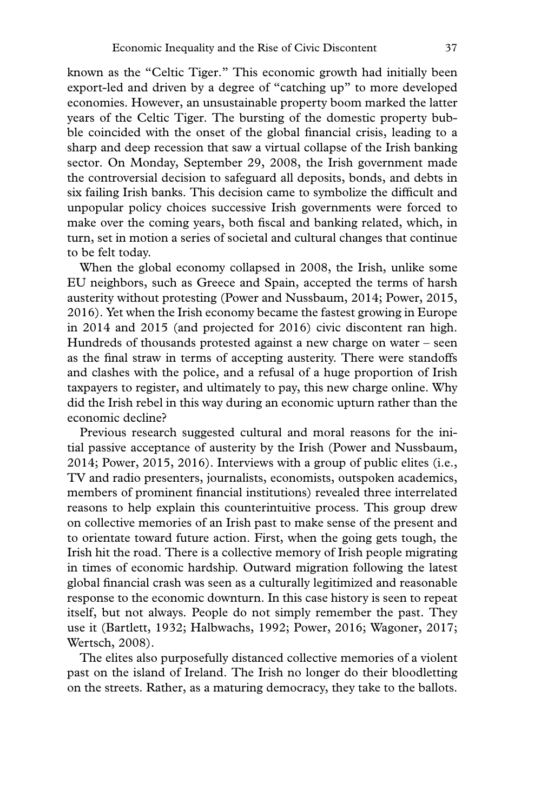known as the "Celtic Tiger." This economic growth had initially been export-led and driven by a degree of "catching up" to more developed economies. However, an unsustainable property boom marked the latter years of the Celtic Tiger. The bursting of the domestic property bubble coincided with the onset of the global financial crisis, leading to a sharp and deep recession that saw a virtual collapse of the Irish banking sector. On Monday, September 29, 2008, the Irish government made the controversial decision to safeguard all deposits, bonds, and debts in six failing Irish banks. This decision came to symbolize the difficult and unpopular policy choices successive Irish governments were forced to make over the coming years, both fiscal and banking related, which, in turn, set in motion a series of societal and cultural changes that continue to be felt today.

When the global economy collapsed in 2008, the Irish, unlike some EU neighbors, such as Greece and Spain, accepted the terms of harsh austerity without protesting (Power and Nussbaum, 2014; Power, 2015, 2016). Yet when the Irish economy became the fastest growing in Europe in 2014 and 2015 (and projected for 2016) civic discontent ran high. Hundreds of thousands protested against a new charge on water – seen as the final straw in terms of accepting austerity. There were standoffs and clashes with the police, and a refusal of a huge proportion of Irish taxpayers to register, and ultimately to pay, this new charge online. Why did the Irish rebel in this way during an economic upturn rather than the economic decline?

Previous research suggested cultural and moral reasons for the initial passive acceptance of austerity by the Irish (Power and Nussbaum, 2014; Power, 2015, 2016). Interviews with a group of public elites (i.e., TV and radio presenters, journalists, economists, outspoken academics, members of prominent financial institutions) revealed three interrelated reasons to help explain this counterintuitive process. This group drew on collective memories of an Irish past to make sense of the present and to orientate toward future action. First, when the going gets tough, the Irish hit the road. There is a collective memory of Irish people migrating in times of economic hardship. Outward migration following the latest global financial crash was seen as a culturally legitimized and reasonable response to the economic downturn. In this case history is seen to repeat itself, but not always. People do not simply remember the past. They use it (Bartlett, 1932; Halbwachs, 1992; Power, 2016; Wagoner, 2017; Wertsch, 2008).

The elites also purposefully distanced collective memories of a violent past on the island of Ireland. The Irish no longer do their bloodletting on the streets. Rather, as a maturing democracy, they take to the ballots.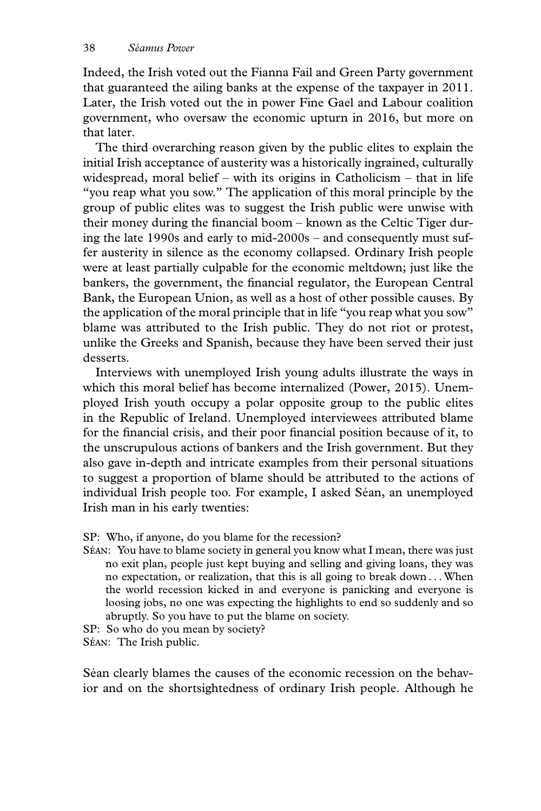Indeed, the Irish voted out the Fianna Fail and Green Party government that guaranteed the ailing banks at the expense of the taxpayer in 2011. Later, the Irish voted out the in power Fine Gael and Labour coalition government, who oversaw the economic upturn in 2016, but more on that later.

The third overarching reason given by the public elites to explain the initial Irish acceptance of austerity was a historically ingrained, culturally widespread, moral belief – with its origins in Catholicism – that in life "you reap what you sow." The application of this moral principle by the group of public elites was to suggest the Irish public were unwise with their money during the financial boom – known as the Celtic Tiger during the late 1990s and early to mid-2000s – and consequently must suffer austerity in silence as the economy collapsed. Ordinary Irish people were at least partially culpable for the economic meltdown; just like the bankers, the government, the financial regulator, the European Central Bank, the European Union, as well as a host of other possible causes. By the application of the moral principle that in life "you reap what you sow" blame was attributed to the Irish public. They do not riot or protest, unlike the Greeks and Spanish, because they have been served their just desserts.

Interviews with unemployed Irish young adults illustrate the ways in which this moral belief has become internalized (Power, 2015). Unemployed Irish youth occupy a polar opposite group to the public elites in the Republic of Ireland. Unemployed interviewees attributed blame for the financial crisis, and their poor financial position because of it, to the unscrupulous actions of bankers and the Irish government. But they also gave in-depth and intricate examples from their personal situations to suggest a proportion of blame should be attributed to the actions of individual Irish people too. For example, I asked Séan, an unemployed Irish man in his early twenties:

SP: Who, if anyone, do you blame for the recession?

- Séan: You have to blame society in general you know what I mean, there was just no exit plan, people just kept buying and selling and giving loans, they was no expectation, or realization, that this is all going to break down . . . When the world recession kicked in and everyone is panicking and everyone is loosing jobs, no one was expecting the highlights to end so suddenly and so abruptly. So you have to put the blame on society.
- SP: So who do you mean by society?

Séan: The Irish public.

Séan clearly blames the causes of the economic recession on the behavior and on the shortsightedness of ordinary Irish people. Although he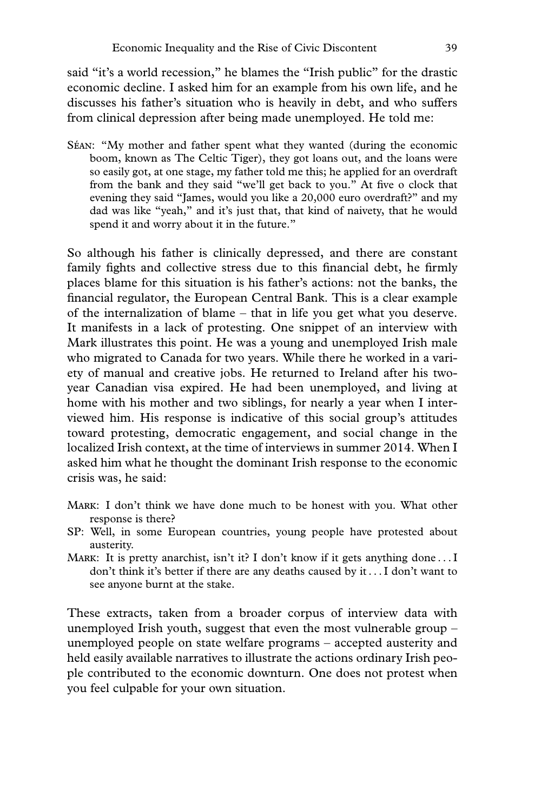said "it's a world recession," he blames the "Irish public" for the drastic economic decline. I asked him for an example from his own life, and he discusses his father's situation who is heavily in debt, and who suffers from clinical depression after being made unemployed. He told me:

Séan: "My mother and father spent what they wanted (during the economic boom, known as The Celtic Tiger), they got loans out, and the loans were so easily got, at one stage, my father told me this; he applied for an overdraft from the bank and they said "we'll get back to you." At five o clock that evening they said "James, would you like a 20,000 euro overdraft?" and my dad was like "yeah," and it's just that, that kind of naivety, that he would spend it and worry about it in the future."

So although his father is clinically depressed, and there are constant family fights and collective stress due to this financial debt, he firmly places blame for this situation is his father's actions: not the banks, the financial regulator, the European Central Bank. This is a clear example of the internalization of blame – that in life you get what you deserve. It manifests in a lack of protesting. One snippet of an interview with Mark illustrates this point. He was a young and unemployed Irish male who migrated to Canada for two years. While there he worked in a variety of manual and creative jobs. He returned to Ireland after his twoyear Canadian visa expired. He had been unemployed, and living at home with his mother and two siblings, for nearly a year when I interviewed him. His response is indicative of this social group's attitudes toward protesting, democratic engagement, and social change in the localized Irish context, at the time of interviews in summer 2014. When I asked him what he thought the dominant Irish response to the economic crisis was, he said:

- Mark: I don't think we have done much to be honest with you. What other response is there?
- SP: Well, in some European countries, young people have protested about austerity.
- MARK: It is pretty anarchist, isn't it? I don't know if it gets anything done ... I don't think it's better if there are any deaths caused by it . . . I don't want to see anyone burnt at the stake.

These extracts, taken from a broader corpus of interview data with unemployed Irish youth, suggest that even the most vulnerable group – unemployed people on state welfare programs – accepted austerity and held easily available narratives to illustrate the actions ordinary Irish people contributed to the economic downturn. One does not protest when you feel culpable for your own situation.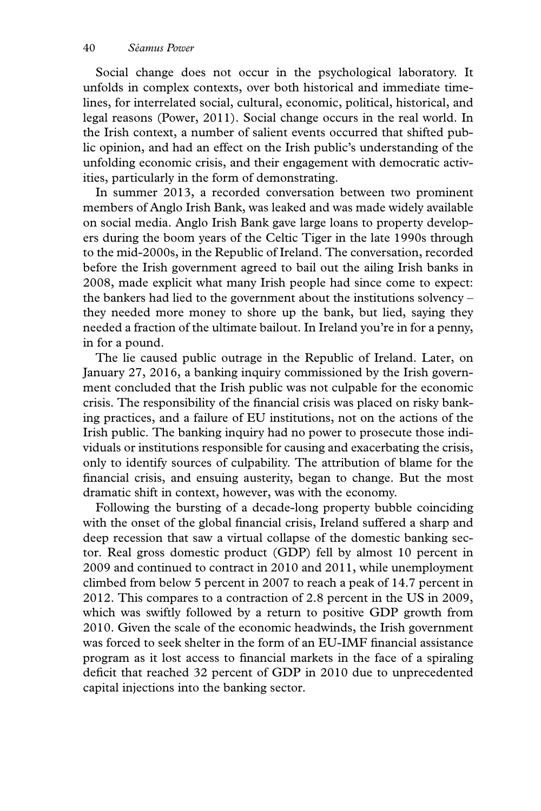Social change does not occur in the psychological laboratory. It unfolds in complex contexts, over both historical and immediate timelines, for interrelated social, cultural, economic, political, historical, and legal reasons (Power, 2011). Social change occurs in the real world. In the Irish context, a number of salient events occurred that shifted public opinion, and had an effect on the Irish public's understanding of the unfolding economic crisis, and their engagement with democratic activities, particularly in the form of demonstrating.

In summer 2013, a recorded conversation between two prominent members of Anglo Irish Bank, was leaked and was made widely available on social media. Anglo Irish Bank gave large loans to property developers during the boom years of the Celtic Tiger in the late 1990s through to the mid-2000s, in the Republic of Ireland. The conversation, recorded before the Irish government agreed to bail out the ailing Irish banks in 2008, made explicit what many Irish people had since come to expect: the bankers had lied to the government about the institutions solvency – they needed more money to shore up the bank, but lied, saying they needed a fraction of the ultimate bailout. In Ireland you're in for a penny, in for a pound.

The lie caused public outrage in the Republic of Ireland. Later, on January 27, 2016, a banking inquiry commissioned by the Irish government concluded that the Irish public was not culpable for the economic crisis. The responsibility of the financial crisis was placed on risky banking practices, and a failure of EU institutions, not on the actions of the Irish public. The banking inquiry had no power to prosecute those individuals or institutions responsible for causing and exacerbating the crisis, only to identify sources of culpability. The attribution of blame for the financial crisis, and ensuing austerity, began to change. But the most dramatic shift in context, however, was with the economy.

Following the bursting of a decade-long property bubble coinciding with the onset of the global financial crisis, Ireland suffered a sharp and deep recession that saw a virtual collapse of the domestic banking sector. Real gross domestic product (GDP) fell by almost 10 percent in 2009 and continued to contract in 2010 and 2011, while unemployment climbed from below 5 percent in 2007 to reach a peak of 14.7 percent in 2012. This compares to a contraction of 2.8 percent in the US in 2009, which was swiftly followed by a return to positive GDP growth from 2010. Given the scale of the economic headwinds, the Irish government was forced to seek shelter in the form of an EU-IMF financial assistance program as it lost access to financial markets in the face of a spiraling deficit that reached 32 percent of GDP in 2010 due to unprecedented capital injections into the banking sector.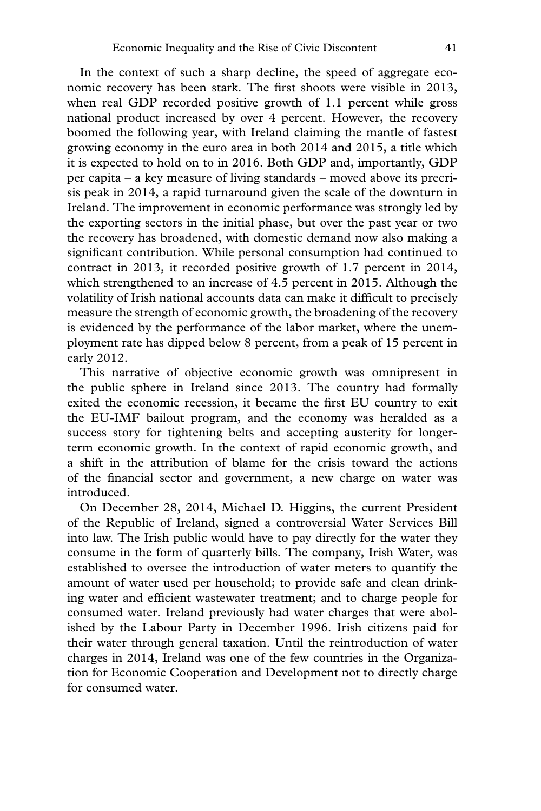In the context of such a sharp decline, the speed of aggregate economic recovery has been stark. The first shoots were visible in 2013, when real GDP recorded positive growth of 1.1 percent while gross national product increased by over 4 percent. However, the recovery boomed the following year, with Ireland claiming the mantle of fastest growing economy in the euro area in both 2014 and 2015, a title which it is expected to hold on to in 2016. Both GDP and, importantly, GDP per capita – a key measure of living standards – moved above its precrisis peak in 2014, a rapid turnaround given the scale of the downturn in Ireland. The improvement in economic performance was strongly led by the exporting sectors in the initial phase, but over the past year or two the recovery has broadened, with domestic demand now also making a significant contribution. While personal consumption had continued to contract in 2013, it recorded positive growth of 1.7 percent in 2014, which strengthened to an increase of 4.5 percent in 2015. Although the volatility of Irish national accounts data can make it difficult to precisely measure the strength of economic growth, the broadening of the recovery is evidenced by the performance of the labor market, where the unemployment rate has dipped below 8 percent, from a peak of 15 percent in early 2012.

This narrative of objective economic growth was omnipresent in the public sphere in Ireland since 2013. The country had formally exited the economic recession, it became the first EU country to exit the EU-IMF bailout program, and the economy was heralded as a success story for tightening belts and accepting austerity for longerterm economic growth. In the context of rapid economic growth, and a shift in the attribution of blame for the crisis toward the actions of the financial sector and government, a new charge on water was introduced.

On December 28, 2014, Michael D. Higgins, the current President of the Republic of Ireland, signed a controversial Water Services Bill into law. The Irish public would have to pay directly for the water they consume in the form of quarterly bills. The company, Irish Water, was established to oversee the introduction of water meters to quantify the amount of water used per household; to provide safe and clean drinking water and efficient wastewater treatment; and to charge people for consumed water. Ireland previously had water charges that were abolished by the Labour Party in December 1996. Irish citizens paid for their water through general taxation. Until the reintroduction of water charges in 2014, Ireland was one of the few countries in the Organization for Economic Cooperation and Development not to directly charge for consumed water.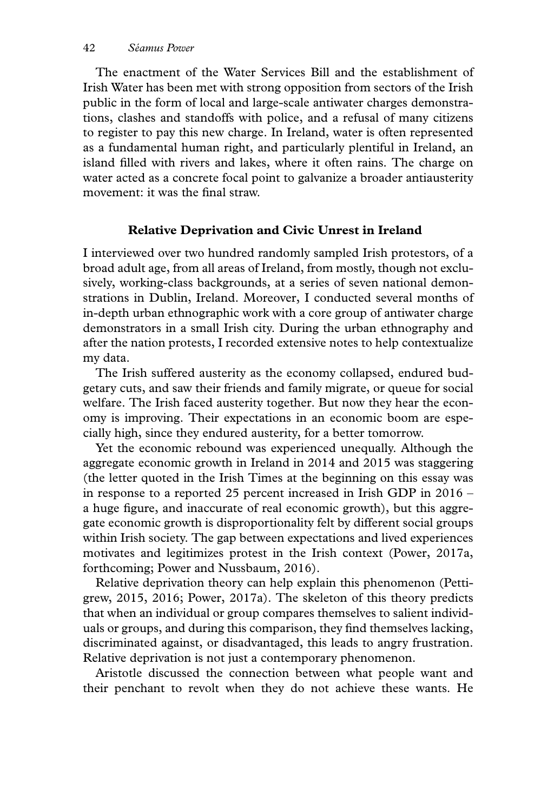The enactment of the Water Services Bill and the establishment of Irish Water has been met with strong opposition from sectors of the Irish public in the form of local and large-scale antiwater charges demonstrations, clashes and standoffs with police, and a refusal of many citizens to register to pay this new charge. In Ireland, water is often represented as a fundamental human right, and particularly plentiful in Ireland, an island filled with rivers and lakes, where it often rains. The charge on water acted as a concrete focal point to galvanize a broader antiausterity movement: it was the final straw.

### **Relative Deprivation and Civic Unrest in Ireland**

I interviewed over two hundred randomly sampled Irish protestors, of a broad adult age, from all areas of Ireland, from mostly, though not exclusively, working-class backgrounds, at a series of seven national demonstrations in Dublin, Ireland. Moreover, I conducted several months of in-depth urban ethnographic work with a core group of antiwater charge demonstrators in a small Irish city. During the urban ethnography and after the nation protests, I recorded extensive notes to help contextualize my data.

The Irish suffered austerity as the economy collapsed, endured budgetary cuts, and saw their friends and family migrate, or queue for social welfare. The Irish faced austerity together. But now they hear the economy is improving. Their expectations in an economic boom are especially high, since they endured austerity, for a better tomorrow.

Yet the economic rebound was experienced unequally. Although the aggregate economic growth in Ireland in 2014 and 2015 was staggering (the letter quoted in the Irish Times at the beginning on this essay was in response to a reported 25 percent increased in Irish GDP in 2016 – a huge figure, and inaccurate of real economic growth), but this aggregate economic growth is disproportionality felt by different social groups within Irish society. The gap between expectations and lived experiences motivates and legitimizes protest in the Irish context (Power, 2017a, forthcoming; Power and Nussbaum, 2016).

Relative deprivation theory can help explain this phenomenon (Pettigrew, 2015, 2016; Power, 2017a). The skeleton of this theory predicts that when an individual or group compares themselves to salient individuals or groups, and during this comparison, they find themselves lacking, discriminated against, or disadvantaged, this leads to angry frustration. Relative deprivation is not just a contemporary phenomenon.

Aristotle discussed the connection between what people want and their penchant to revolt when they do not achieve these wants. He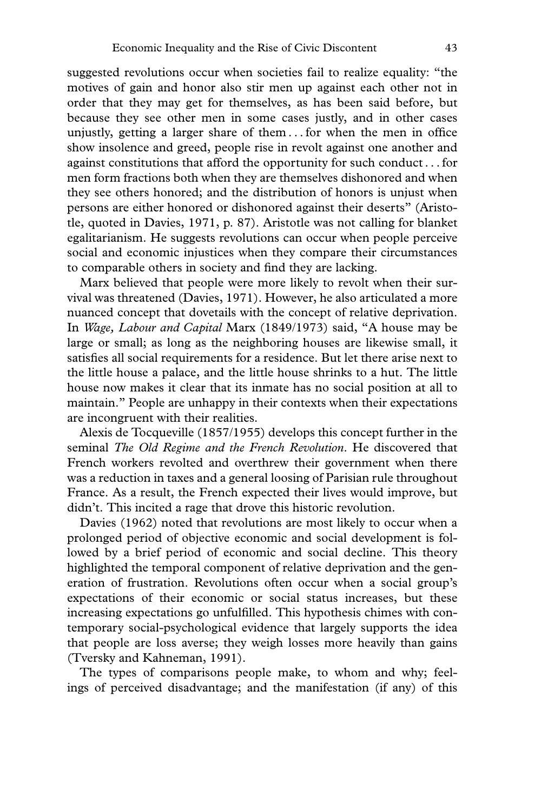suggested revolutions occur when societies fail to realize equality: "the motives of gain and honor also stir men up against each other not in order that they may get for themselves, as has been said before, but because they see other men in some cases justly, and in other cases unjustly, getting a larger share of them . . . for when the men in office show insolence and greed, people rise in revolt against one another and against constitutions that afford the opportunity for such conduct . . . for men form fractions both when they are themselves dishonored and when they see others honored; and the distribution of honors is unjust when persons are either honored or dishonored against their deserts" (Aristotle, quoted in Davies, 1971, p. 87). Aristotle was not calling for blanket egalitarianism. He suggests revolutions can occur when people perceive social and economic injustices when they compare their circumstances to comparable others in society and find they are lacking.

Marx believed that people were more likely to revolt when their survival was threatened (Davies, 1971). However, he also articulated a more nuanced concept that dovetails with the concept of relative deprivation. In *Wage, Labour and Capital* Marx (1849/1973) said, "A house may be large or small; as long as the neighboring houses are likewise small, it satisfies all social requirements for a residence. But let there arise next to the little house a palace, and the little house shrinks to a hut. The little house now makes it clear that its inmate has no social position at all to maintain." People are unhappy in their contexts when their expectations are incongruent with their realities.

Alexis de Tocqueville (1857/1955) develops this concept further in the seminal *The Old Regime and the French Revolution*. He discovered that French workers revolted and overthrew their government when there was a reduction in taxes and a general loosing of Parisian rule throughout France. As a result, the French expected their lives would improve, but didn't. This incited a rage that drove this historic revolution.

Davies (1962) noted that revolutions are most likely to occur when a prolonged period of objective economic and social development is followed by a brief period of economic and social decline. This theory highlighted the temporal component of relative deprivation and the generation of frustration. Revolutions often occur when a social group's expectations of their economic or social status increases, but these increasing expectations go unfulfilled. This hypothesis chimes with contemporary social-psychological evidence that largely supports the idea that people are loss averse; they weigh losses more heavily than gains (Tversky and Kahneman, 1991).

The types of comparisons people make, to whom and why; feelings of perceived disadvantage; and the manifestation (if any) of this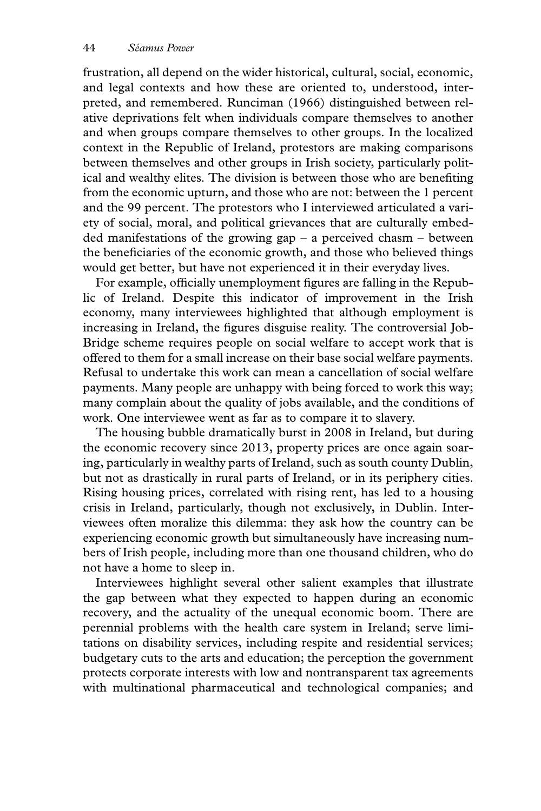frustration, all depend on the wider historical, cultural, social, economic, and legal contexts and how these are oriented to, understood, interpreted, and remembered. Runciman (1966) distinguished between relative deprivations felt when individuals compare themselves to another and when groups compare themselves to other groups. In the localized context in the Republic of Ireland, protestors are making comparisons between themselves and other groups in Irish society, particularly political and wealthy elites. The division is between those who are benefiting from the economic upturn, and those who are not: between the 1 percent and the 99 percent. The protestors who I interviewed articulated a variety of social, moral, and political grievances that are culturally embedded manifestations of the growing gap – a perceived chasm – between the beneficiaries of the economic growth, and those who believed things would get better, but have not experienced it in their everyday lives.

For example, officially unemployment figures are falling in the Republic of Ireland. Despite this indicator of improvement in the Irish economy, many interviewees highlighted that although employment is increasing in Ireland, the figures disguise reality. The controversial Job-Bridge scheme requires people on social welfare to accept work that is offered to them for a small increase on their base social welfare payments. Refusal to undertake this work can mean a cancellation of social welfare payments. Many people are unhappy with being forced to work this way; many complain about the quality of jobs available, and the conditions of work. One interviewee went as far as to compare it to slavery.

The housing bubble dramatically burst in 2008 in Ireland, but during the economic recovery since 2013, property prices are once again soaring, particularly in wealthy parts of Ireland, such as south county Dublin, but not as drastically in rural parts of Ireland, or in its periphery cities. Rising housing prices, correlated with rising rent, has led to a housing crisis in Ireland, particularly, though not exclusively, in Dublin. Interviewees often moralize this dilemma: they ask how the country can be experiencing economic growth but simultaneously have increasing numbers of Irish people, including more than one thousand children, who do not have a home to sleep in.

Interviewees highlight several other salient examples that illustrate the gap between what they expected to happen during an economic recovery, and the actuality of the unequal economic boom. There are perennial problems with the health care system in Ireland; serve limitations on disability services, including respite and residential services; budgetary cuts to the arts and education; the perception the government protects corporate interests with low and nontransparent tax agreements with multinational pharmaceutical and technological companies; and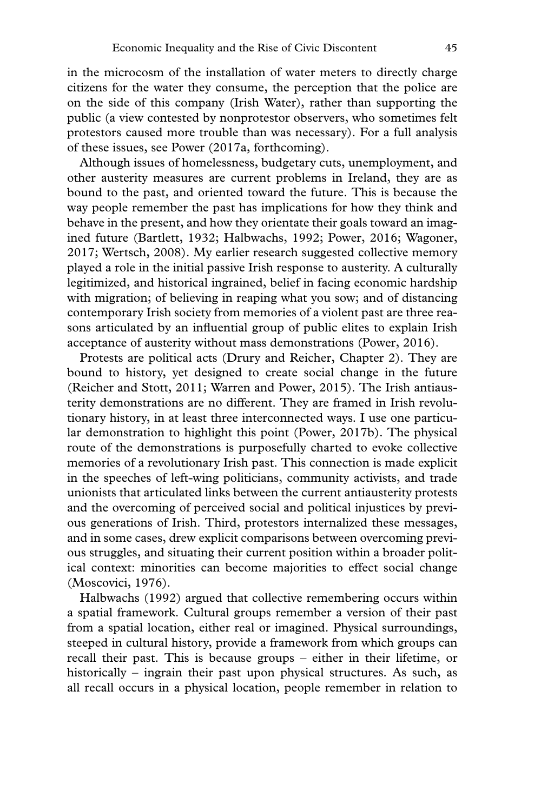in the microcosm of the installation of water meters to directly charge citizens for the water they consume, the perception that the police are on the side of this company (Irish Water), rather than supporting the public (a view contested by nonprotestor observers, who sometimes felt protestors caused more trouble than was necessary). For a full analysis of these issues, see Power (2017a, forthcoming).

Although issues of homelessness, budgetary cuts, unemployment, and other austerity measures are current problems in Ireland, they are as bound to the past, and oriented toward the future. This is because the way people remember the past has implications for how they think and behave in the present, and how they orientate their goals toward an imagined future (Bartlett, 1932; Halbwachs, 1992; Power, 2016; Wagoner, 2017; Wertsch, 2008). My earlier research suggested collective memory played a role in the initial passive Irish response to austerity. A culturally legitimized, and historical ingrained, belief in facing economic hardship with migration; of believing in reaping what you sow; and of distancing contemporary Irish society from memories of a violent past are three reasons articulated by an influential group of public elites to explain Irish acceptance of austerity without mass demonstrations (Power, 2016).

Protests are political acts (Drury and Reicher, Chapter 2). They are bound to history, yet designed to create social change in the future (Reicher and Stott, 2011; Warren and Power, 2015). The Irish antiausterity demonstrations are no different. They are framed in Irish revolutionary history, in at least three interconnected ways. I use one particular demonstration to highlight this point (Power, 2017b). The physical route of the demonstrations is purposefully charted to evoke collective memories of a revolutionary Irish past. This connection is made explicit in the speeches of left-wing politicians, community activists, and trade unionists that articulated links between the current antiausterity protests and the overcoming of perceived social and political injustices by previous generations of Irish. Third, protestors internalized these messages, and in some cases, drew explicit comparisons between overcoming previous struggles, and situating their current position within a broader political context: minorities can become majorities to effect social change (Moscovici, 1976).

Halbwachs (1992) argued that collective remembering occurs within a spatial framework. Cultural groups remember a version of their past from a spatial location, either real or imagined. Physical surroundings, steeped in cultural history, provide a framework from which groups can recall their past. This is because groups – either in their lifetime, or historically – ingrain their past upon physical structures. As such, as all recall occurs in a physical location, people remember in relation to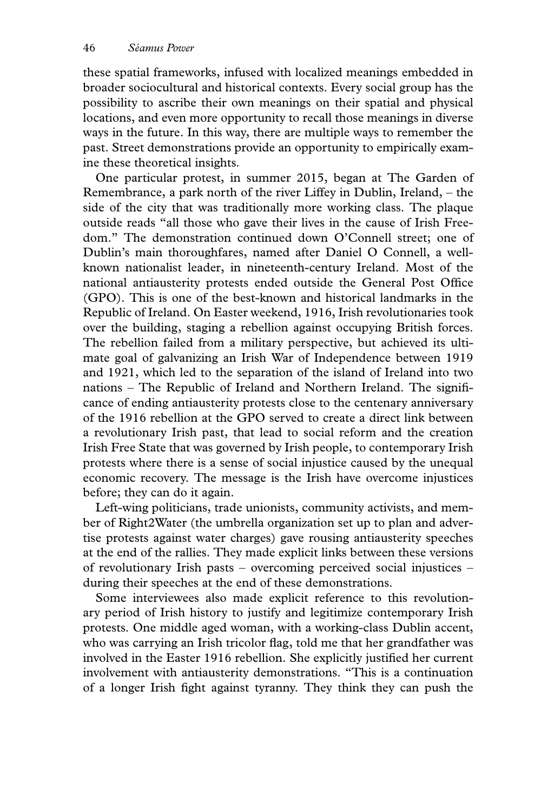these spatial frameworks, infused with localized meanings embedded in broader sociocultural and historical contexts. Every social group has the possibility to ascribe their own meanings on their spatial and physical locations, and even more opportunity to recall those meanings in diverse ways in the future. In this way, there are multiple ways to remember the past. Street demonstrations provide an opportunity to empirically examine these theoretical insights.

One particular protest, in summer 2015, began at The Garden of Remembrance, a park north of the river Liffey in Dublin, Ireland, – the side of the city that was traditionally more working class. The plaque outside reads "all those who gave their lives in the cause of Irish Freedom." The demonstration continued down O'Connell street; one of Dublin's main thoroughfares, named after Daniel O Connell, a wellknown nationalist leader, in nineteenth-century Ireland. Most of the national antiausterity protests ended outside the General Post Office (GPO). This is one of the best-known and historical landmarks in the Republic of Ireland. On Easter weekend, 1916, Irish revolutionaries took over the building, staging a rebellion against occupying British forces. The rebellion failed from a military perspective, but achieved its ultimate goal of galvanizing an Irish War of Independence between 1919 and 1921, which led to the separation of the island of Ireland into two nations – The Republic of Ireland and Northern Ireland. The significance of ending antiausterity protests close to the centenary anniversary of the 1916 rebellion at the GPO served to create a direct link between a revolutionary Irish past, that lead to social reform and the creation Irish Free State that was governed by Irish people, to contemporary Irish protests where there is a sense of social injustice caused by the unequal economic recovery. The message is the Irish have overcome injustices before; they can do it again.

Left-wing politicians, trade unionists, community activists, and member of Right2Water (the umbrella organization set up to plan and advertise protests against water charges) gave rousing antiausterity speeches at the end of the rallies. They made explicit links between these versions of revolutionary Irish pasts – overcoming perceived social injustices – during their speeches at the end of these demonstrations.

Some interviewees also made explicit reference to this revolutionary period of Irish history to justify and legitimize contemporary Irish protests. One middle aged woman, with a working-class Dublin accent, who was carrying an Irish tricolor flag, told me that her grandfather was involved in the Easter 1916 rebellion. She explicitly justified her current involvement with antiausterity demonstrations. "This is a continuation of a longer Irish fight against tyranny. They think they can push the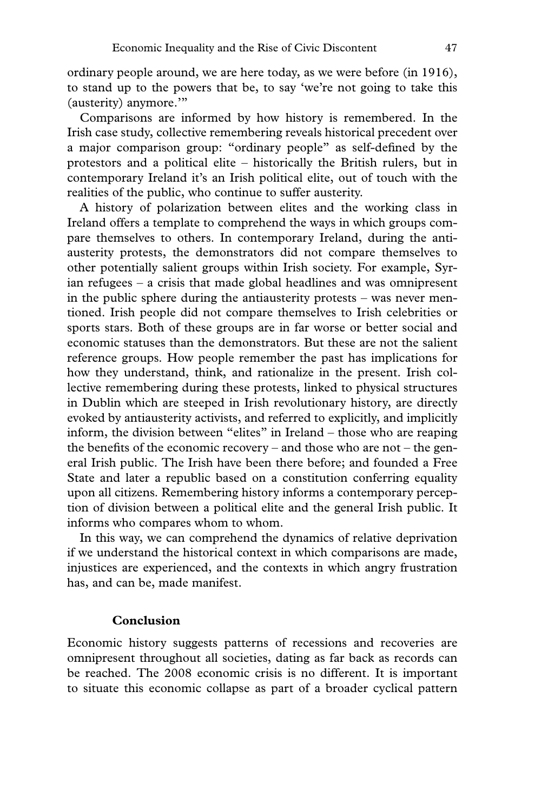ordinary people around, we are here today, as we were before (in 1916), to stand up to the powers that be, to say 'we're not going to take this (austerity) anymore.'"

Comparisons are informed by how history is remembered. In the Irish case study, collective remembering reveals historical precedent over a major comparison group: "ordinary people" as self-defined by the protestors and a political elite – historically the British rulers, but in contemporary Ireland it's an Irish political elite, out of touch with the realities of the public, who continue to suffer austerity.

A history of polarization between elites and the working class in Ireland offers a template to comprehend the ways in which groups compare themselves to others. In contemporary Ireland, during the antiausterity protests, the demonstrators did not compare themselves to other potentially salient groups within Irish society. For example, Syrian refugees – a crisis that made global headlines and was omnipresent in the public sphere during the antiausterity protests – was never mentioned. Irish people did not compare themselves to Irish celebrities or sports stars. Both of these groups are in far worse or better social and economic statuses than the demonstrators. But these are not the salient reference groups. How people remember the past has implications for how they understand, think, and rationalize in the present. Irish collective remembering during these protests, linked to physical structures in Dublin which are steeped in Irish revolutionary history, are directly evoked by antiausterity activists, and referred to explicitly, and implicitly inform, the division between "elites" in Ireland – those who are reaping the benefits of the economic recovery – and those who are not – the general Irish public. The Irish have been there before; and founded a Free State and later a republic based on a constitution conferring equality upon all citizens. Remembering history informs a contemporary perception of division between a political elite and the general Irish public. It informs who compares whom to whom.

In this way, we can comprehend the dynamics of relative deprivation if we understand the historical context in which comparisons are made, injustices are experienced, and the contexts in which angry frustration has, and can be, made manifest.

#### **Conclusion**

Economic history suggests patterns of recessions and recoveries are omnipresent throughout all societies, dating as far back as records can be reached. The 2008 economic crisis is no different. It is important to situate this economic collapse as part of a broader cyclical pattern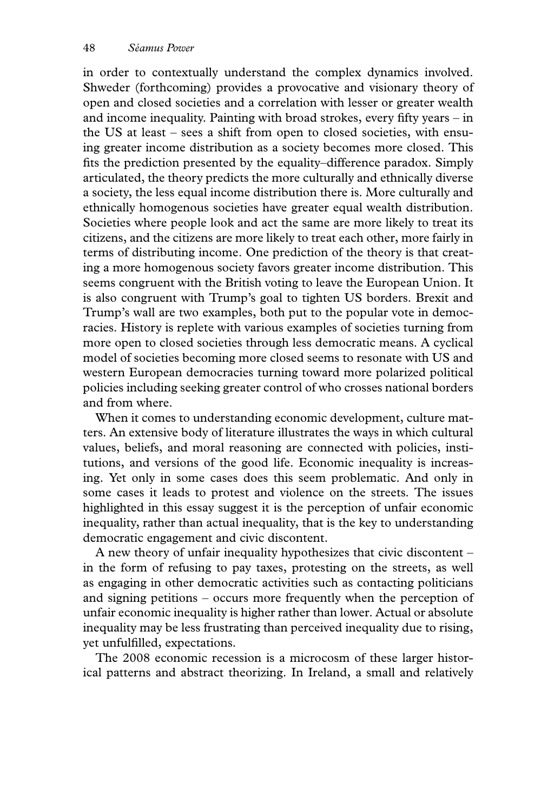in order to contextually understand the complex dynamics involved. Shweder (forthcoming) provides a provocative and visionary theory of open and closed societies and a correlation with lesser or greater wealth and income inequality. Painting with broad strokes, every fifty years – in the US at least – sees a shift from open to closed societies, with ensuing greater income distribution as a society becomes more closed. This fits the prediction presented by the equality–difference paradox. Simply articulated, the theory predicts the more culturally and ethnically diverse a society, the less equal income distribution there is. More culturally and ethnically homogenous societies have greater equal wealth distribution. Societies where people look and act the same are more likely to treat its citizens, and the citizens are more likely to treat each other, more fairly in terms of distributing income. One prediction of the theory is that creating a more homogenous society favors greater income distribution. This seems congruent with the British voting to leave the European Union. It is also congruent with Trump's goal to tighten US borders. Brexit and Trump's wall are two examples, both put to the popular vote in democracies. History is replete with various examples of societies turning from more open to closed societies through less democratic means. A cyclical model of societies becoming more closed seems to resonate with US and western European democracies turning toward more polarized political policies including seeking greater control of who crosses national borders and from where.

When it comes to understanding economic development, culture matters. An extensive body of literature illustrates the ways in which cultural values, beliefs, and moral reasoning are connected with policies, institutions, and versions of the good life. Economic inequality is increasing. Yet only in some cases does this seem problematic. And only in some cases it leads to protest and violence on the streets. The issues highlighted in this essay suggest it is the perception of unfair economic inequality, rather than actual inequality, that is the key to understanding democratic engagement and civic discontent.

A new theory of unfair inequality hypothesizes that civic discontent – in the form of refusing to pay taxes, protesting on the streets, as well as engaging in other democratic activities such as contacting politicians and signing petitions – occurs more frequently when the perception of unfair economic inequality is higher rather than lower. Actual or absolute inequality may be less frustrating than perceived inequality due to rising, yet unfulfilled, expectations.

The 2008 economic recession is a microcosm of these larger historical patterns and abstract theorizing. In Ireland, a small and relatively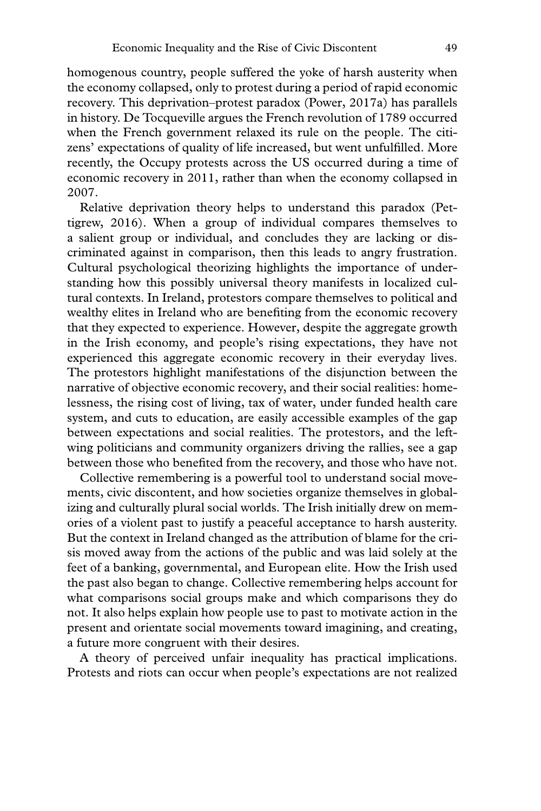homogenous country, people suffered the yoke of harsh austerity when the economy collapsed, only to protest during a period of rapid economic recovery. This deprivation–protest paradox (Power, 2017a) has parallels in history. De Tocqueville argues the French revolution of 1789 occurred when the French government relaxed its rule on the people. The citizens' expectations of quality of life increased, but went unfulfilled. More recently, the Occupy protests across the US occurred during a time of economic recovery in 2011, rather than when the economy collapsed in 2007.

Relative deprivation theory helps to understand this paradox (Pettigrew, 2016). When a group of individual compares themselves to a salient group or individual, and concludes they are lacking or discriminated against in comparison, then this leads to angry frustration. Cultural psychological theorizing highlights the importance of understanding how this possibly universal theory manifests in localized cultural contexts. In Ireland, protestors compare themselves to political and wealthy elites in Ireland who are benefiting from the economic recovery that they expected to experience. However, despite the aggregate growth in the Irish economy, and people's rising expectations, they have not experienced this aggregate economic recovery in their everyday lives. The protestors highlight manifestations of the disjunction between the narrative of objective economic recovery, and their social realities: homelessness, the rising cost of living, tax of water, under funded health care system, and cuts to education, are easily accessible examples of the gap between expectations and social realities. The protestors, and the leftwing politicians and community organizers driving the rallies, see a gap between those who benefited from the recovery, and those who have not.

Collective remembering is a powerful tool to understand social movements, civic discontent, and how societies organize themselves in globalizing and culturally plural social worlds. The Irish initially drew on memories of a violent past to justify a peaceful acceptance to harsh austerity. But the context in Ireland changed as the attribution of blame for the crisis moved away from the actions of the public and was laid solely at the feet of a banking, governmental, and European elite. How the Irish used the past also began to change. Collective remembering helps account for what comparisons social groups make and which comparisons they do not. It also helps explain how people use to past to motivate action in the present and orientate social movements toward imagining, and creating, a future more congruent with their desires.

A theory of perceived unfair inequality has practical implications. Protests and riots can occur when people's expectations are not realized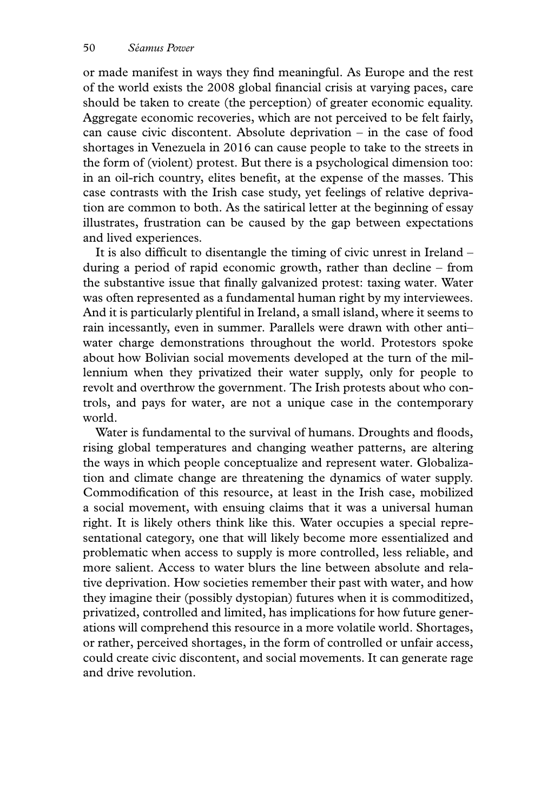or made manifest in ways they find meaningful. As Europe and the rest of the world exists the 2008 global financial crisis at varying paces, care should be taken to create (the perception) of greater economic equality. Aggregate economic recoveries, which are not perceived to be felt fairly, can cause civic discontent. Absolute deprivation – in the case of food shortages in Venezuela in 2016 can cause people to take to the streets in the form of (violent) protest. But there is a psychological dimension too: in an oil-rich country, elites benefit, at the expense of the masses. This case contrasts with the Irish case study, yet feelings of relative deprivation are common to both. As the satirical letter at the beginning of essay illustrates, frustration can be caused by the gap between expectations and lived experiences.

It is also difficult to disentangle the timing of civic unrest in Ireland – during a period of rapid economic growth, rather than decline – from the substantive issue that finally galvanized protest: taxing water. Water was often represented as a fundamental human right by my interviewees. And it is particularly plentiful in Ireland, a small island, where it seems to rain incessantly, even in summer. Parallels were drawn with other anti– water charge demonstrations throughout the world. Protestors spoke about how Bolivian social movements developed at the turn of the millennium when they privatized their water supply, only for people to revolt and overthrow the government. The Irish protests about who controls, and pays for water, are not a unique case in the contemporary world.

Water is fundamental to the survival of humans. Droughts and floods, rising global temperatures and changing weather patterns, are altering the ways in which people conceptualize and represent water. Globalization and climate change are threatening the dynamics of water supply. Commodification of this resource, at least in the Irish case, mobilized a social movement, with ensuing claims that it was a universal human right. It is likely others think like this. Water occupies a special representational category, one that will likely become more essentialized and problematic when access to supply is more controlled, less reliable, and more salient. Access to water blurs the line between absolute and relative deprivation. How societies remember their past with water, and how they imagine their (possibly dystopian) futures when it is commoditized, privatized, controlled and limited, has implications for how future generations will comprehend this resource in a more volatile world. Shortages, or rather, perceived shortages, in the form of controlled or unfair access, could create civic discontent, and social movements. It can generate rage and drive revolution.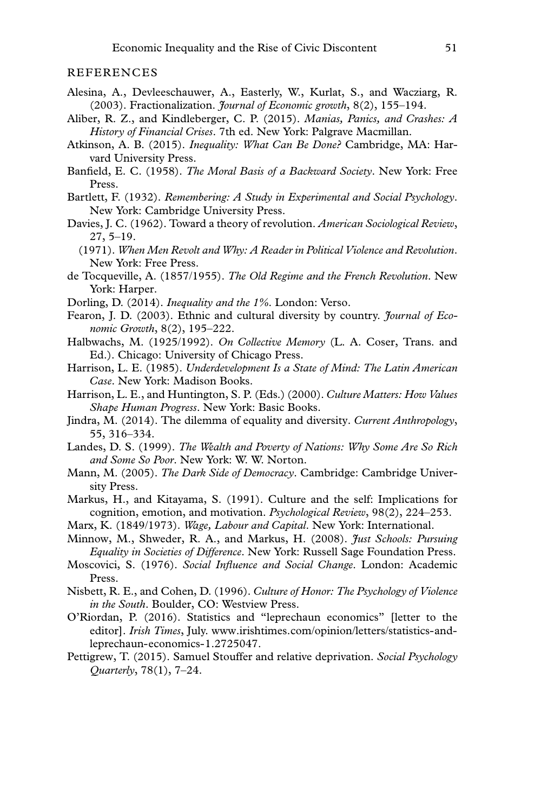#### REFERENCES

- Alesina, A., Devleeschauwer, A., Easterly, W., Kurlat, S., and Wacziarg, R. (2003). Fractionalization. *Journal of Economic growth*, 8(2), 155–194.
- Aliber, R. Z., and Kindleberger, C. P. (2015). *Manias, Panics, and Crashes: A History of Financial Crises*. 7th ed. New York: Palgrave Macmillan.
- Atkinson, A. B. (2015). *Inequality: What Can Be Done?* Cambridge, MA: Harvard University Press.
- Banfield, E. C. (1958). *The Moral Basis of a Backward Society*. New York: Free Press.
- Bartlett, F. (1932). *Remembering: A Study in Experimental and Social Psychology*. New York: Cambridge University Press.
- Davies, J. C. (1962). Toward a theory of revolution. *American Sociological Review*, 27, 5–19.
	- (1971). *When Men Revolt and Why: A Reader in Political Violence and Revolution*. New York: Free Press.
- de Tocqueville, A. (1857/1955). *The Old Regime and the French Revolution*. New York: Harper.
- Dorling, D. (2014). *Inequality and the 1%*. London: Verso.
- Fearon, J. D. (2003). Ethnic and cultural diversity by country. *Journal of Economic Growth*, 8(2), 195–222.
- Halbwachs, M. (1925/1992). *On Collective Memory* (L. A. Coser, Trans. and Ed.). Chicago: University of Chicago Press.
- Harrison, L. E. (1985). *Underdevelopment Is a State of Mind: The Latin American Case*. New York: Madison Books.
- Harrison, L. E., and Huntington, S. P. (Eds.) (2000). *Culture Matters: How Values Shape Human Progress*. New York: Basic Books.
- Jindra, M. (2014). The dilemma of equality and diversity. *Current Anthropology*, 55, 316–334.
- Landes, D. S. (1999). *The Wealth and Poverty of Nations: Why Some Are So Rich and Some So Poor*. New York: W. W. Norton.
- Mann, M. (2005). *The Dark Side of Democracy*. Cambridge: Cambridge University Press.
- Markus, H., and Kitayama, S. (1991). Culture and the self: Implications for cognition, emotion, and motivation. *Psychological Review*, 98(2), 224–253.
- Marx, K. (1849/1973). *Wage, Labour and Capital*. New York: International.
- Minnow, M., Shweder, R. A., and Markus, H. (2008). *Just Schools: Pursuing Equality in Societies of Difference*. New York: Russell Sage Foundation Press.
- Moscovici, S. (1976). *Social Influence and Social Change*. London: Academic Press.
- Nisbett, R. E., and Cohen, D. (1996). *Culture of Honor: The Psychology of Violence in the South*. Boulder, CO: Westview Press.
- O'Riordan, P. (2016). Statistics and "leprechaun economics" [letter to the editor]. *Irish Times*, July. www.irishtimes.com/opinion/letters/statistics-andleprechaun-economics-1.2725047.
- Pettigrew, T. (2015). Samuel Stouffer and relative deprivation. *Social Psychology Quarterly*, 78(1), 7–24.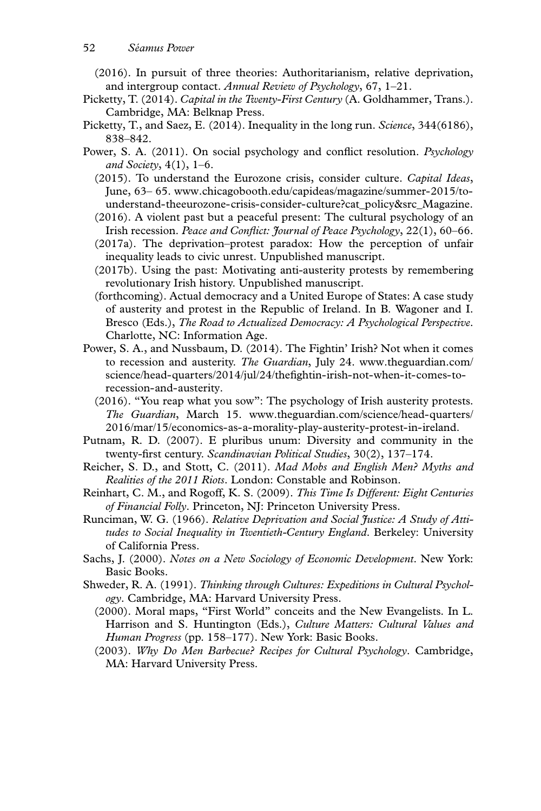(2016). In pursuit of three theories: Authoritarianism, relative deprivation, and intergroup contact. *Annual Review of Psychology*, 67, 1–21.

- Picketty, T. (2014). *Capital in the Twenty-First Century* (A. Goldhammer, Trans.). Cambridge, MA: Belknap Press.
- Picketty, T., and Saez, E. (2014). Inequality in the long run. *Science*, 344(6186), 838–842.
- Power, S. A. (2011). On social psychology and conflict resolution. *Psychology and Society*, 4(1), 1–6.
	- (2015). To understand the Eurozone crisis, consider culture. *Capital Ideas*, June, 63– 65. www.chicagobooth.edu/capideas/magazine/summer-2015/tounderstand-theeurozone-crisis-consider-culture?cat\_policy&src\_Magazine.
	- (2016). A violent past but a peaceful present: The cultural psychology of an Irish recession. *Peace and Conflict: Journal of Peace Psychology*, 22(1), 60–66.
	- (2017a). The deprivation–protest paradox: How the perception of unfair inequality leads to civic unrest. Unpublished manuscript.
	- (2017b). Using the past: Motivating anti-austerity protests by remembering revolutionary Irish history. Unpublished manuscript.
	- (forthcoming). Actual democracy and a United Europe of States: A case study of austerity and protest in the Republic of Ireland. In B. Wagoner and I. Bresco (Eds.), *The Road to Actualized Democracy: A Psychological Perspective*. Charlotte, NC: Information Age.
- Power, S. A., and Nussbaum, D. (2014). The Fightin' Irish? Not when it comes to recession and austerity. *The Guardian*, July 24. www.theguardian.com/ science/head-quarters/2014/jul/24/thefightin-irish-not-when-it-comes-torecession-and-austerity.
	- (2016). "You reap what you sow": The psychology of Irish austerity protests. *The Guardian*, March 15. www.theguardian.com/science/head-quarters/ 2016/mar/15/economics-as-a-morality-play-austerity-protest-in-ireland.
- Putnam, R. D. (2007). E pluribus unum: Diversity and community in the twenty-first century. *Scandinavian Political Studies*, 30(2), 137–174.
- Reicher, S. D., and Stott, C. (2011). *Mad Mobs and English Men? Myths and Realities of the 2011 Riots*. London: Constable and Robinson.
- Reinhart, C. M., and Rogoff, K. S. (2009). *This Time Is Different: Eight Centuries of Financial Folly*. Princeton, NJ: Princeton University Press.
- Runciman, W. G. (1966). *Relative Deprivation and Social Justice: A Study of Attitudes to Social Inequality in Twentieth-Century England*. Berkeley: University of California Press.
- Sachs, J. (2000). *Notes on a New Sociology of Economic Development*. New York: Basic Books.
- Shweder, R. A. (1991). *Thinking through Cultures: Expeditions in Cultural Psychology*. Cambridge, MA: Harvard University Press.
	- (2000). Moral maps, "First World" conceits and the New Evangelists. In L. Harrison and S. Huntington (Eds.), *Culture Matters: Cultural Values and Human Progress* (pp. 158–177). New York: Basic Books.
	- (2003). *Why Do Men Barbecue? Recipes for Cultural Psychology*. Cambridge, MA: Harvard University Press.